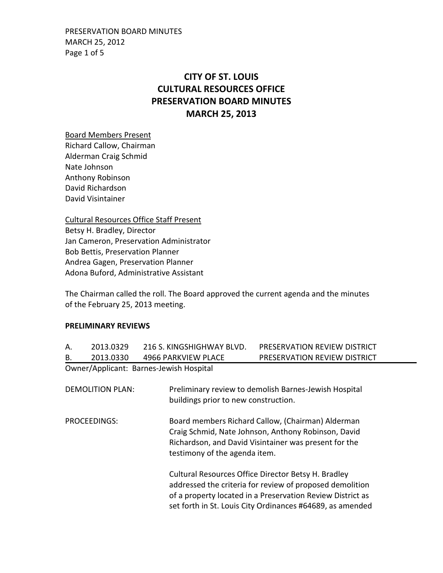PRESERVATION BOARD MINUTES MARCH 25, 2012 Page 1 of 5

# **CITY OF ST. LOUIS CULTURAL RESOURCES OFFICE PRESERVATION BOARD MINUTES MARCH 25, 2013**

Board Members Present Richard Callow, Chairman Alderman Craig Schmid Nate Johnson Anthony Robinson David Richardson David Visintainer

Cultural Resources Office Staff Present Betsy H. Bradley, Director Jan Cameron, Preservation Administrator Bob Bettis, Preservation Planner Andrea Gagen, Preservation Planner Adona Buford, Administrative Assistant

The Chairman called the roll. The Board approved the current agenda and the minutes of the February 25, 2013 meeting.

### **PRELIMINARY REVIEWS**

| А.                                      | 2013.0329 | 216 S. KINGSHIGHWAY BLVD.            | PRESERVATION REVIEW DISTRICT                          |  |
|-----------------------------------------|-----------|--------------------------------------|-------------------------------------------------------|--|
| В.                                      | 2013.0330 | 4966 PARKVIEW PLACE                  | PRESERVATION REVIEW DISTRICT                          |  |
| Owner/Applicant: Barnes-Jewish Hospital |           |                                      |                                                       |  |
|                                         |           |                                      |                                                       |  |
| <b>DEMOLITION PLAN:</b>                 |           |                                      | Preliminary review to demolish Barnes-Jewish Hospital |  |
|                                         |           | buildings prior to new construction. |                                                       |  |
|                                         |           |                                      |                                                       |  |
| PROCEEDINGS:                            |           |                                      | Board members Richard Callow, (Chairman) Alderman     |  |
|                                         |           |                                      | Craig Schmid, Nate Johnson, Anthony Robinson, David   |  |
|                                         |           |                                      | Richardson, and David Visintainer was present for the |  |
|                                         |           |                                      | testimony of the agenda item.                         |  |

Cultural Resources Office Director Betsy H. Bradley addressed the criteria for review of proposed demolition of a property located in a Preservation Review District as set forth in St. Louis City Ordinances #64689, as amended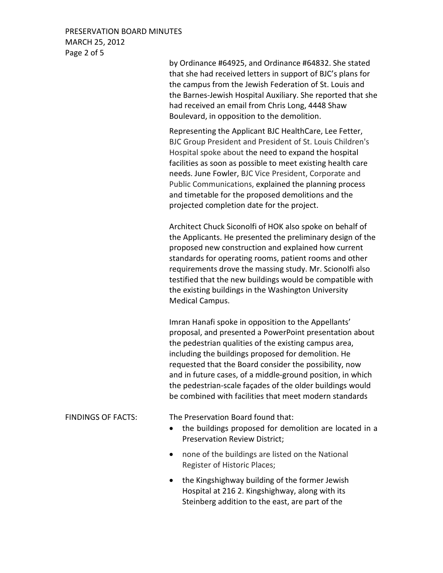## PRESERVATION BOARD MINUTES MARCH 25, 2012 Page 2 of 5

by Ordinance #64925, and Ordinance #64832. She stated that she had received letters in support of BJC's plans for the campus from the Jewish Federation of St. Louis and the Barnes-Jewish Hospital Auxiliary. She reported that she had received an email from Chris Long, 4448 Shaw Boulevard, in opposition to the demolition.

Representing the Applicant BJC HealthCare, Lee Fetter, BJC Group President and President of St. Louis Children's Hospital spoke about the need to expand the hospital facilities as soon as possible to meet existing health care needs. June Fowler, BJC Vice President, Corporate and Public Communications, explained the planning process and timetable for the proposed demolitions and the projected completion date for the project.

Architect Chuck Siconolfi of HOK also spoke on behalf of the Applicants. He presented the preliminary design of the proposed new construction and explained how current standards for operating rooms, patient rooms and other requirements drove the massing study. Mr. Scionolfi also testified that the new buildings would be compatible with the existing buildings in the Washington University Medical Campus.

Imran Hanafi spoke in opposition to the Appellants' proposal, and presented a PowerPoint presentation about the pedestrian qualities of the existing campus area, including the buildings proposed for demolition. He requested that the Board consider the possibility, now and in future cases, of a middle-ground position, in which the pedestrian-scale façades of the older buildings would be combined with facilities that meet modern standards

FINDINGS OF FACTS: The Preservation Board found that:

- the buildings proposed for demolition are located in a Preservation Review District;
- none of the buildings are listed on the National Register of Historic Places;
- the Kingshighway building of the former Jewish Hospital at 216 2. Kingshighway, along with its Steinberg addition to the east, are part of the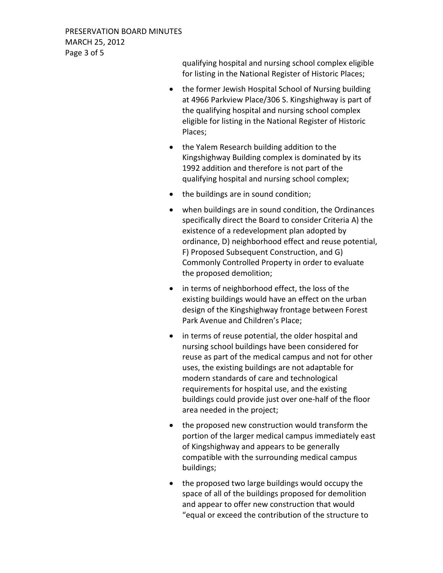PRESERVATION BOARD MINUTES MARCH 25, 2012 Page 3 of 5

> qualifying hospital and nursing school complex eligible for listing in the National Register of Historic Places;

- the former Jewish Hospital School of Nursing building at 4966 Parkview Place/306 S. Kingshighway is part of the qualifying hospital and nursing school complex eligible for listing in the National Register of Historic Places;
- the Yalem Research building addition to the Kingshighway Building complex is dominated by its 1992 addition and therefore is not part of the qualifying hospital and nursing school complex;
- the buildings are in sound condition;
- when buildings are in sound condition, the Ordinances specifically direct the Board to consider Criteria A) the existence of a redevelopment plan adopted by ordinance, D) neighborhood effect and reuse potential, F) Proposed Subsequent Construction, and G) Commonly Controlled Property in order to evaluate the proposed demolition;
- in terms of neighborhood effect, the loss of the existing buildings would have an effect on the urban design of the Kingshighway frontage between Forest Park Avenue and Children's Place;
- in terms of reuse potential, the older hospital and nursing school buildings have been considered for reuse as part of the medical campus and not for other uses, the existing buildings are not adaptable for modern standards of care and technological requirements for hospital use, and the existing buildings could provide just over one-half of the floor area needed in the project;
- the proposed new construction would transform the portion of the larger medical campus immediately east of Kingshighway and appears to be generally compatible with the surrounding medical campus buildings;
- the proposed two large buildings would occupy the space of all of the buildings proposed for demolition and appear to offer new construction that would "equal or exceed the contribution of the structure to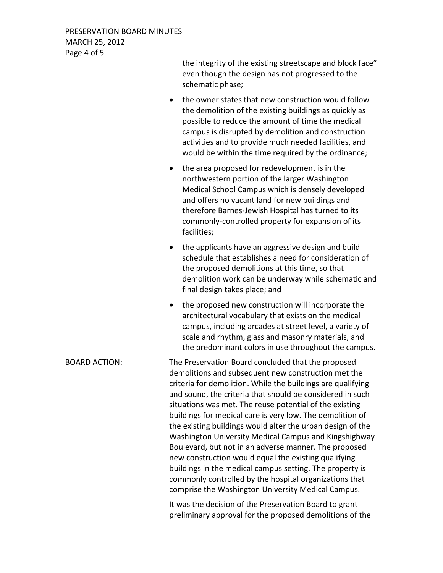| PRESERVATION BOARD MINUTES |
|----------------------------|
| <b>MARCH 25, 2012</b>      |
| Page 4 of 5                |

the integrity of the existing streetscape and block face" even though the design has not progressed to the schematic phase;

- the owner states that new construction would follow the demolition of the existing buildings as quickly as possible to reduce the amount of time the medical campus is disrupted by demolition and construction activities and to provide much needed facilities, and would be within the time required by the ordinance;
- the area proposed for redevelopment is in the northwestern portion of the larger Washington Medical School Campus which is densely developed and offers no vacant land for new buildings and therefore Barnes-Jewish Hospital has turned to its commonly-controlled property for expansion of its facilities;
- the applicants have an aggressive design and build schedule that establishes a need for consideration of the proposed demolitions at this time, so that demolition work can be underway while schematic and final design takes place; and
- the proposed new construction will incorporate the architectural vocabulary that exists on the medical campus, including arcades at street level, a variety of scale and rhythm, glass and masonry materials, and the predominant colors in use throughout the campus.

BOARD ACTION: The Preservation Board concluded that the proposed demolitions and subsequent new construction met the criteria for demolition. While the buildings are qualifying and sound, the criteria that should be considered in such situations was met. The reuse potential of the existing buildings for medical care is very low. The demolition of the existing buildings would alter the urban design of the Washington University Medical Campus and Kingshighway Boulevard, but not in an adverse manner. The proposed new construction would equal the existing qualifying buildings in the medical campus setting. The property is commonly controlled by the hospital organizations that comprise the Washington University Medical Campus.

> It was the decision of the Preservation Board to grant preliminary approval for the proposed demolitions of the